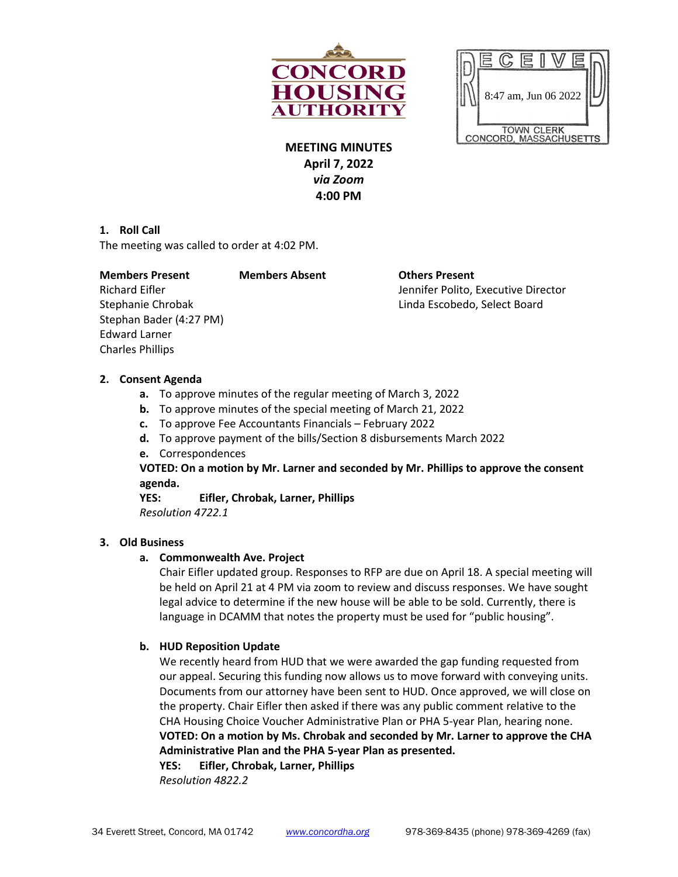



**MEETING MINUTES April 7, 2022** *via Zoom* **4:00 PM**

### **1. Roll Call**

The meeting was called to order at 4:02 PM.

#### **Members Present Members Absent Others Present**

Stephan Bader (4:27 PM) Edward Larner Charles Phillips

Richard Eifler Jennifer Polito, Executive Director Stephanie Chrobak Linda Escobedo, Select Board

#### **2. Consent Agenda**

- **a.** To approve minutes of the regular meeting of March 3, 2022
- **b.** To approve minutes of the special meeting of March 21, 2022
- **c.** To approve Fee Accountants Financials February 2022
- **d.** To approve payment of the bills/Section 8 disbursements March 2022
- **e.** Correspondences

# **VOTED: On a motion by Mr. Larner and seconded by Mr. Phillips to approve the consent agenda.**

**YES: Eifler, Chrobak, Larner, Phillips**

*Resolution 4722.1*

### **3. Old Business**

# **a. Commonwealth Ave. Project**

Chair Eifler updated group. Responses to RFP are due on April 18. A special meeting will be held on April 21 at 4 PM via zoom to review and discuss responses. We have sought legal advice to determine if the new house will be able to be sold. Currently, there is language in DCAMM that notes the property must be used for "public housing".

# **b. HUD Reposition Update**

We recently heard from HUD that we were awarded the gap funding requested from our appeal. Securing this funding now allows us to move forward with conveying units. Documents from our attorney have been sent to HUD. Once approved, we will close on the property. Chair Eifler then asked if there was any public comment relative to the CHA Housing Choice Voucher Administrative Plan or PHA 5-year Plan, hearing none. **VOTED: On a motion by Ms. Chrobak and seconded by Mr. Larner to approve the CHA Administrative Plan and the PHA 5-year Plan as presented.** 

**YES: Eifler, Chrobak, Larner, Phillips** *Resolution 4822.2*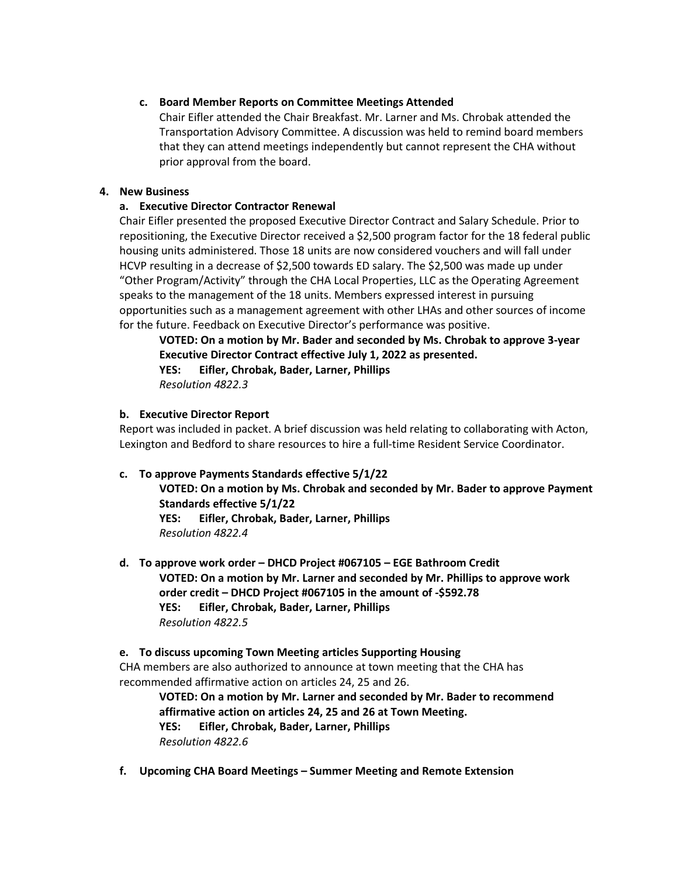### **c. Board Member Reports on Committee Meetings Attended**

Chair Eifler attended the Chair Breakfast. Mr. Larner and Ms. Chrobak attended the Transportation Advisory Committee. A discussion was held to remind board members that they can attend meetings independently but cannot represent the CHA without prior approval from the board.

### **4. New Business**

## **a. Executive Director Contractor Renewal**

Chair Eifler presented the proposed Executive Director Contract and Salary Schedule. Prior to repositioning, the Executive Director received a \$2,500 program factor for the 18 federal public housing units administered. Those 18 units are now considered vouchers and will fall under HCVP resulting in a decrease of \$2,500 towards ED salary. The \$2,500 was made up under "Other Program/Activity" through the CHA Local Properties, LLC as the Operating Agreement speaks to the management of the 18 units. Members expressed interest in pursuing opportunities such as a management agreement with other LHAs and other sources of income for the future. Feedback on Executive Director's performance was positive.

**VOTED: On a motion by Mr. Bader and seconded by Ms. Chrobak to approve 3-year Executive Director Contract effective July 1, 2022 as presented.** 

**YES: Eifler, Chrobak, Bader, Larner, Phillips** *Resolution 4822.3*

### **b. Executive Director Report**

Report was included in packet. A brief discussion was held relating to collaborating with Acton, Lexington and Bedford to share resources to hire a full-time Resident Service Coordinator.

# **c. To approve Payments Standards effective 5/1/22**

**VOTED: On a motion by Ms. Chrobak and seconded by Mr. Bader to approve Payment Standards effective 5/1/22 YES: Eifler, Chrobak, Bader, Larner, Phillips**

*Resolution 4822.4*

**d. To approve work order – DHCD Project #067105 – EGE Bathroom Credit VOTED: On a motion by Mr. Larner and seconded by Mr. Phillips to approve work order credit – DHCD Project #067105 in the amount of -\$592.78 YES: Eifler, Chrobak, Bader, Larner, Phillips** *Resolution 4822.5*

#### **e. To discuss upcoming Town Meeting articles Supporting Housing**

CHA members are also authorized to announce at town meeting that the CHA has recommended affirmative action on articles 24, 25 and 26.

**VOTED: On a motion by Mr. Larner and seconded by Mr. Bader to recommend affirmative action on articles 24, 25 and 26 at Town Meeting. YES: Eifler, Chrobak, Bader, Larner, Phillips** *Resolution 4822.6*

**f. Upcoming CHA Board Meetings – Summer Meeting and Remote Extension**